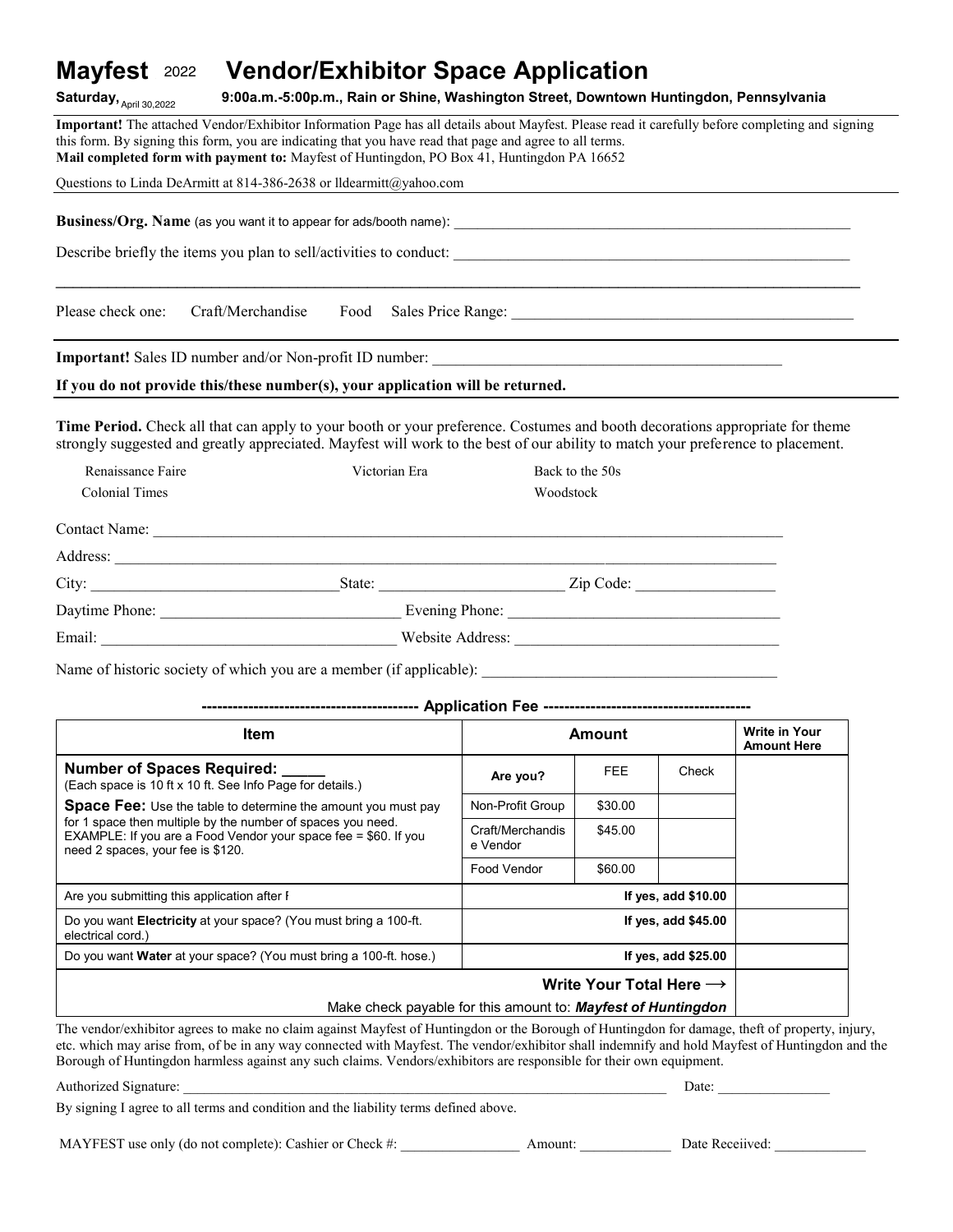#### **Vendor/Exhibitor Space Application** Mayfest 2022

**SaturdayF April ?9F ?q\_7F 9:qqaYmYIT:qqpYmYF Rain or ShineF Washington StreetF Downtown HuntingdonF Pennsylvania** Saturday,  $_{April\;30,2022}$ 

Important! The attached Vendor/Exhibitor Information Page has all details about Mayfest. Please read it carefully before completing and signing this form. By signing this form, you are indicating that you have read that page and agree to all terms. Mail completed form with payment to: Mayfest of Huntingdon, PO Box 41, Huntingdon PA 16652

| Questions to Linda DeArmitt at 814-386-2638 or lldearmitt@yahoo.com                                                                                                                                                                                                                                                      |      |                  |            |       |                                                                                                                                                                                                                               |  |  |  |
|--------------------------------------------------------------------------------------------------------------------------------------------------------------------------------------------------------------------------------------------------------------------------------------------------------------------------|------|------------------|------------|-------|-------------------------------------------------------------------------------------------------------------------------------------------------------------------------------------------------------------------------------|--|--|--|
|                                                                                                                                                                                                                                                                                                                          |      |                  |            |       |                                                                                                                                                                                                                               |  |  |  |
|                                                                                                                                                                                                                                                                                                                          |      |                  |            |       |                                                                                                                                                                                                                               |  |  |  |
|                                                                                                                                                                                                                                                                                                                          |      |                  |            |       |                                                                                                                                                                                                                               |  |  |  |
| Craft/Merchandise<br>Please check one:                                                                                                                                                                                                                                                                                   | Food |                  |            |       | Sales Price Range: 1988 and 1988 and 1988 and 1988 and 1988 and 1988 and 1988 and 1988 and 1988 and 1988 and 1988 and 1988 and 1988 and 1988 and 1988 and 1988 and 1988 and 1988 and 1988 and 1988 and 1988 and 1988 and 1988 |  |  |  |
|                                                                                                                                                                                                                                                                                                                          |      |                  |            |       |                                                                                                                                                                                                                               |  |  |  |
| If you do not provide this/these number(s), your application will be returned.                                                                                                                                                                                                                                           |      |                  |            |       |                                                                                                                                                                                                                               |  |  |  |
| Time Period. Check all that can apply to your booth or your preference. Costumes and booth decorations appropriate for theme<br>strongly suggested and greatly appreciated. Mayfest will work to the best of our ability to match your preference to placement.<br>Renaissance Faire<br>Victorian Era<br>Back to the 50s |      |                  |            |       |                                                                                                                                                                                                                               |  |  |  |
| <b>Colonial Times</b>                                                                                                                                                                                                                                                                                                    |      | Woodstock        |            |       |                                                                                                                                                                                                                               |  |  |  |
|                                                                                                                                                                                                                                                                                                                          |      |                  |            |       |                                                                                                                                                                                                                               |  |  |  |
|                                                                                                                                                                                                                                                                                                                          |      |                  |            |       |                                                                                                                                                                                                                               |  |  |  |
|                                                                                                                                                                                                                                                                                                                          |      |                  |            |       |                                                                                                                                                                                                                               |  |  |  |
|                                                                                                                                                                                                                                                                                                                          |      |                  |            |       |                                                                                                                                                                                                                               |  |  |  |
|                                                                                                                                                                                                                                                                                                                          |      |                  |            |       |                                                                                                                                                                                                                               |  |  |  |
|                                                                                                                                                                                                                                                                                                                          |      |                  |            |       |                                                                                                                                                                                                                               |  |  |  |
|                                                                                                                                                                                                                                                                                                                          |      |                  |            |       |                                                                                                                                                                                                                               |  |  |  |
|                                                                                                                                                                                                                                                                                                                          |      |                  |            |       |                                                                                                                                                                                                                               |  |  |  |
| <b>Item</b>                                                                                                                                                                                                                                                                                                              |      | <b>Amount</b>    |            |       | <b>Write in Your</b><br><b>Amount Here</b>                                                                                                                                                                                    |  |  |  |
| Number of Spaces Required:<br>(Each space is 10 ft x 10 ft. See Info Page for details.)                                                                                                                                                                                                                                  |      | Are you?         | <b>FEE</b> | Check |                                                                                                                                                                                                                               |  |  |  |
| <b>Space Fee:</b> Use the table to determine the amount you must pay                                                                                                                                                                                                                                                     |      | Non-Profit Group | \$30.00    |       |                                                                                                                                                                                                                               |  |  |  |

| need 2 spaces, your fee is \$120.                                                                                                              | e vendor             |                                     |  |  |  |  |
|------------------------------------------------------------------------------------------------------------------------------------------------|----------------------|-------------------------------------|--|--|--|--|
|                                                                                                                                                | Food Vendor          | \$60.00                             |  |  |  |  |
| Are you submitting this application after I                                                                                                    | If yes, add $$10.00$ |                                     |  |  |  |  |
| Do you want <b>Electricity</b> at your space? (You must bring a 100-ft.<br>electrical cord.)                                                   | If yes, add $$45.00$ |                                     |  |  |  |  |
| Do you want <b>Water</b> at your space? (You must bring a 100-ft. hose.)                                                                       | If yes, add $$25.00$ |                                     |  |  |  |  |
|                                                                                                                                                |                      | Write Your Total Here $\rightarrow$ |  |  |  |  |
| Make check payable for this amount to: <b>Mayfest of Huntingdon</b>                                                                            |                      |                                     |  |  |  |  |
| The vendor/exhibitor agrees to make no claim against Mayfest of Huntingdon or the Borough of Huntingdon for damage, theft of property, injury, |                      |                                     |  |  |  |  |

Craft/Merchandis e Vendor

\$45.00

etc. which may arise from, of be in any way connected with Mayfest. The vendor/exhibitor shall indemnify and hold Mayfest of Huntingdon and the Borough of Huntingdon harmless against any such claims. Vendors/exhibitors are responsible for their own equipment.

Authorized Signature: Date:  $\Box$ 

By signing I agree to all terms and condition and the liability terms defined above.

MAYFEST use only (do not complete): Cashier or Check #: Amount: Date Receiived:

for 1 space then multiple by the number of spaces you need. EXAMPLE: If you are a Food Vendor your space fee =  $$60.$  If you